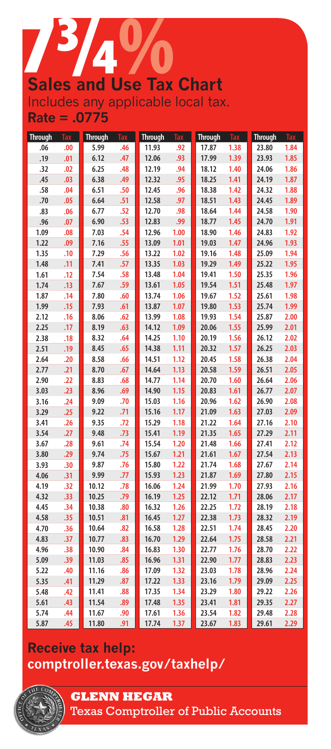# **Sales and Use Tax Chart** Includes any applicable local tax.

**Rate = .0775**

| <b>Through</b> |     | <b>Through</b> |     | <b>Through</b> |      | <b>Through</b> | <b>Tax</b> | <b>Through</b> |      |
|----------------|-----|----------------|-----|----------------|------|----------------|------------|----------------|------|
| .06            | .00 | 5.99           | .46 | 11.93          | .92  | 17.87          | 1.38       | 23.80          | 1.84 |
| .19            | .01 | 6.12           | .47 | 12.06          | .93  | 17.99          | 1.39       | 23.93          | 1.85 |
| .32            | .02 | 6.25           | .48 | 12.19          | .94  | 18.12          | 1.40       | 24.06          | 1.86 |
| .45            | .03 | 6.38           | .49 | 12.32          | .95  | 18.25          | 1.41       | 24.19          | 1.87 |
| .58            | .04 | 6.51           | .50 | 12.45          | .96  | 18.38          | 1.42       | 24.32          | 1.88 |
| .70            | .05 | 6.64           | .51 | 12.58          | .97  | 18.51          | 1.43       | 24.45          | 1.89 |
| .83            | .06 | 6.77           | .52 | 12.70          | .98  | 18.64          | 1.44       | 24.58          | 1.90 |
| .96            | .07 | 6.90           | .53 | 12.83          | .99  | 18.77          | 1.45       | 24.70          | 1.91 |
| 1.09           | .08 | 7.03           | .54 | 12.96          | 1.00 | 18.90          | 1.46       | 24.83          | 1.92 |
| 1.22           | .09 | 7.16           | .55 | 13.09          | 1.01 | 19.03          | 1.47       | 24.96          | 1.93 |
| 1.35           | .10 | 7.29           | .56 | 13.22          | 1.02 | 19.16          | 1.48       | 25.09          | 1.94 |
| 1.48           | .11 | 7.41           | .57 | 13.35          | 1.03 | 19.29          | 1.49       | 25.22          | 1.95 |
| 1.61           | .12 | 7.54           | .58 | 13.48          | 1.04 | 19.41          | 1.50       | 25.35          | 1.96 |
| 1.74           | .13 | 7.67           | .59 | 13.61          | 1.05 | 19.54          | 1.51       | 25.48          | 1.97 |
| 1.87           | .14 | 7.80           | .60 | 13.74          | 1.06 | 19.67          | 1.52       | 25.61          | 1.98 |
| 1.99           | .15 | 7.93           | .61 | 13.87          | 1.07 | 19.80          | 1.53       | 25.74          | 1.99 |
| 2.12           | .16 | 8.06           | .62 | 13.99          | 1.08 | 19.93          | 1.54       | 25.87          | 2.00 |
| 2.25           | .17 | 8.19           | .63 | 14.12          | 1.09 | 20.06          | 1.55       | 25.99          | 2.01 |
| 2.38           | .18 | 8.32           | .64 | 14.25          | 1.10 | 20.19          | 1.56       | 26.12          | 2.02 |
| 2.51           | .19 | 8.45           | .65 | 14.38          | 1.11 | 20.32          | 1.57       | 26.25          | 2.03 |
| 2.64           | .20 | 8.58           | .66 | 14.51          | 1.12 | 20.45          | 1.58       | 26.38          | 2.04 |
| 2.77           | .21 | 8.70           | .67 | 14.64          | 1.13 | 20.58          | 1.59       | 26.51          | 2.05 |
| 2.90           | .22 | 8.83           | .68 | 14.77          | 1.14 | 20.70          | 1.60       | 26.64          | 2.06 |
| 3.03           | .23 | 8.96           | .69 | 14.90          | 1.15 | 20.83          | 1.61       | 26.77          | 2.07 |
| 3.16           | .24 | 9.09           | .70 | 15.03          | 1.16 | 20.96          | 1.62       | 26.90          | 2.08 |
| 3.29           | .25 | 9.22           | .71 | 15.16          | 1.17 | 21.09          | 1.63       | 27.03          | 2.09 |
| 3.41           | .26 | 9.35           | .72 | 15.29          | 1.18 | 21.22          | 1.64       | 27.16          | 2.10 |
| 3.54           | .27 | 9.48           | .73 | 15.41          | 1.19 | 21.35          | 1.65       | 27.29          | 2.11 |
| 3.67           | .28 | 9.61           | .74 | 15.54          | 1.20 | 21.48          | 1.66       | 27.41          | 2.12 |
| 3.80           | .29 | 9.74           | .75 | 15.67          | 1.21 | 21.61          | 1.67       | 27.54          | 2.13 |
| 3.93           | .30 | 9.87           | .76 | 15.80          | 1.22 | 21.74          | 1.68       | 27.67          | 2.14 |
| 4.06           | .31 | 9.99           | .77 | 15.93          | 1.23 | 21.87          | 1.69       | 27.80          | 2.15 |
| 4.19           | .32 | 10.12          | .78 | 16.06          | 1.24 | 21.99          | 1.70       | 27.93          | 2.16 |
| 4.32           | .33 | 10.25          | .79 | 16.19          | 1.25 | 22.12          | 1.71       | 28.06          | 2.17 |
| 4.45           | .34 | 10.38          | .80 | 16.32          | 1.26 | 22.25          | 1.72       | 28.19          | 2.18 |
| 4.58           | .35 | 10.51          | .81 | 16.45          | 1.27 | 22.38          | 1.73       | 28.32          | 2.19 |
| 4.70           | .36 | 10.64          | .82 | 16.58          | 1.28 | 22.51          | 1.74       | 28.45          | 2.20 |
| 4.83           | .37 | 10.77          | .83 | 16.70          | 1.29 | 22.64          | 1.75       | 28.58          | 2.21 |
| 4.96           | .38 | 10.90          | .84 | 16.83          | 1.30 | 22.77          | 1.76       | 28.70          | 2.22 |
| 5.09           | .39 | 11.03          | .85 | 16.96          | 1.31 | 22.90          | 1.77       | 28.83          | 2.23 |
| 5.22           | .40 | 11.16          | .86 | 17.09          | 1.32 | 23.03          | 1.78       | 28.96          | 2.24 |
| 5.35           | .41 | 11.29          | .87 | 17.22          | 1.33 | 23.16          | 1.79       | 29.09          | 2.25 |
| 5.48           | .42 | 11.41          | .88 | 17.35          | 1.34 | 23.29          | 1.80       | 29.22          | 2.26 |
| 5.61           | .43 | 11.54          | .89 | 17.48          | 1.35 | 23.41          | 1.81       | 29.35          | 2.27 |
| 5.74           | .44 | 11.67          | .90 | 17.61          | 1.36 | 23.54          | 1.82       | 29.48          | 2.28 |
| 5.87           | .45 | 11.80          | .91 | 17.74          | 1.37 | 23.67          | 1.83       | 29.61          | 2.29 |

## **Receive tax help: [comptroller.texas.gov/taxhelp/](www.comptroller.texas.gov/taxhelp/)**



**GLENN HEGAR** 

Texas Comptroller of Public Accounts